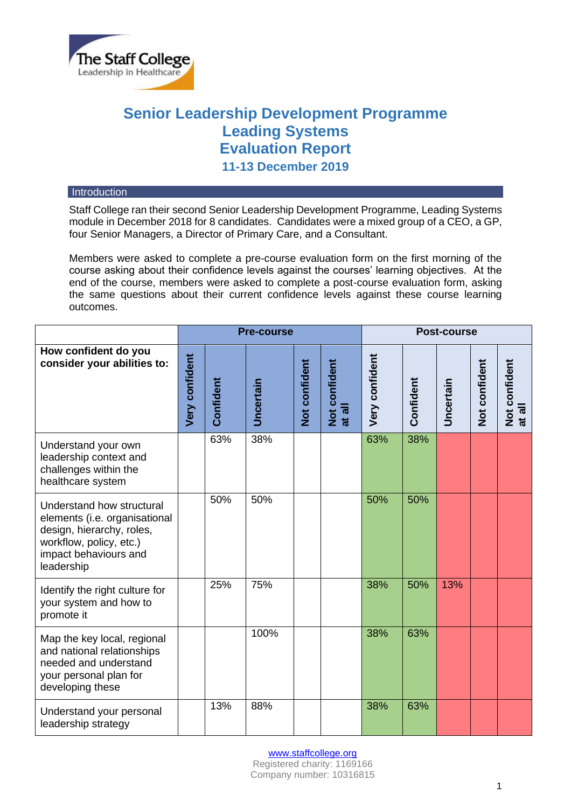

# **Senior Leadership Development Programme Leading Systems Evaluation Report 11-13 December 2019**

### **Introduction**

Staff College ran their second Senior Leadership Development Programme, Leading Systems module in December 2018 for 8 candidates. Candidates were a mixed group of a CEO, a GP, four Senior Managers, a Director of Primary Care, and a Consultant.

Members were asked to complete a pre-course evaluation form on the first morning of the course asking about their confidence levels against the courses' learning objectives. At the end of the course, members were asked to complete a post-course evaluation form, asking the same questions about their current confidence levels against these course learning outcomes.

|                                                                                                                                                           | <b>Pre-course</b>     |           |                  |               |                         | Post-course    |           |                  |               |                         |
|-----------------------------------------------------------------------------------------------------------------------------------------------------------|-----------------------|-----------|------------------|---------------|-------------------------|----------------|-----------|------------------|---------------|-------------------------|
| How confident do you<br>consider your abilities to:                                                                                                       | <b>Very confident</b> | Confident | <b>Uncertain</b> | Not confident | Not confident<br>at all | Very confident | Confident | <b>Uncertain</b> | Not confident | Not confident<br>at all |
| Understand your own<br>leadership context and<br>challenges within the<br>healthcare system                                                               |                       | 63%       | 38%              |               |                         | 63%            | 38%       |                  |               |                         |
| Understand how structural<br>elements (i.e. organisational<br>design, hierarchy, roles,<br>workflow, policy, etc.)<br>impact behaviours and<br>leadership |                       | 50%       | 50%              |               |                         | 50%            | 50%       |                  |               |                         |
| Identify the right culture for<br>your system and how to<br>promote it                                                                                    |                       | 25%       | 75%              |               |                         | 38%            | 50%       | 13%              |               |                         |
| Map the key local, regional<br>and national relationships<br>needed and understand<br>your personal plan for<br>developing these                          |                       |           | 100%             |               |                         | 38%            | 63%       |                  |               |                         |
| Understand your personal<br>leadership strategy                                                                                                           |                       | 13%       | 88%              |               |                         | 38%            | 63%       |                  |               |                         |

[www.staffcollege.org](http://www.staffcollege.org/)

Registered charity: 1169166 Company number: 10316815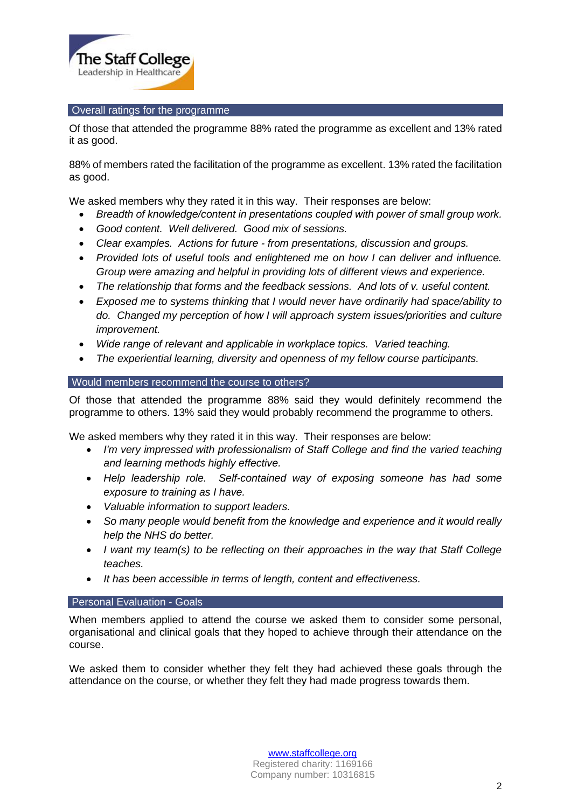

# Overall ratings for the programme

Of those that attended the programme 88% rated the programme as excellent and 13% rated it as good.

88% of members rated the facilitation of the programme as excellent. 13% rated the facilitation as good.

We asked members why they rated it in this way. Their responses are below:

- *Breadth of knowledge/content in presentations coupled with power of small group work.*
- *Good content. Well delivered. Good mix of sessions.*
- *Clear examples. Actions for future - from presentations, discussion and groups.*
- *Provided lots of useful tools and enlightened me on how I can deliver and influence. Group were amazing and helpful in providing lots of different views and experience.*
- *The relationship that forms and the feedback sessions. And lots of v. useful content.*
- *Exposed me to systems thinking that I would never have ordinarily had space/ability to do. Changed my perception of how I will approach system issues/priorities and culture improvement.*
- *Wide range of relevant and applicable in workplace topics. Varied teaching.*
- *The experiential learning, diversity and openness of my fellow course participants.*

# Would members recommend the course to others?

Of those that attended the programme 88% said they would definitely recommend the programme to others. 13% said they would probably recommend the programme to others.

We asked members why they rated it in this way. Their responses are below:

- *I'm very impressed with professionalism of Staff College and find the varied teaching and learning methods highly effective.*
- *Help leadership role. Self-contained way of exposing someone has had some exposure to training as I have.*
- *Valuable information to support leaders.*
- *So many people would benefit from the knowledge and experience and it would really help the NHS do better.*
- *I want my team(s) to be reflecting on their approaches in the way that Staff College teaches.*
- *It has been accessible in terms of length, content and effectiveness.*

## **Personal Evaluation - Goals**

When members applied to attend the course we asked them to consider some personal, organisational and clinical goals that they hoped to achieve through their attendance on the course.

We asked them to consider whether they felt they had achieved these goals through the attendance on the course, or whether they felt they had made progress towards them.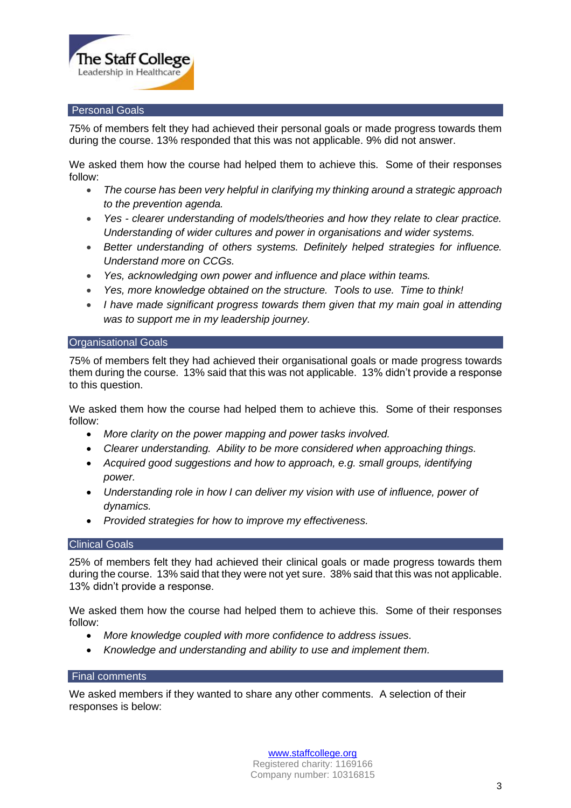

## Personal Goals

75% of members felt they had achieved their personal goals or made progress towards them during the course. 13% responded that this was not applicable. 9% did not answer.

We asked them how the course had helped them to achieve this. Some of their responses follow:

- *The course has been very helpful in clarifying my thinking around a strategic approach to the prevention agenda.*
- *Yes - clearer understanding of models/theories and how they relate to clear practice. Understanding of wider cultures and power in organisations and wider systems.*
- *Better understanding of others systems. Definitely helped strategies for influence. Understand more on CCGs.*
- *Yes, acknowledging own power and influence and place within teams.*
- *Yes, more knowledge obtained on the structure. Tools to use. Time to think!*
- *I have made significant progress towards them given that my main goal in attending was to support me in my leadership journey.*

## Organisational Goals

75% of members felt they had achieved their organisational goals or made progress towards them during the course. 13% said that this was not applicable. 13% didn't provide a response to this question.

We asked them how the course had helped them to achieve this. Some of their responses follow:

- *More clarity on the power mapping and power tasks involved.*
- *Clearer understanding. Ability to be more considered when approaching things.*
- *Acquired good suggestions and how to approach, e.g. small groups, identifying power.*
- *Understanding role in how I can deliver my vision with use of influence, power of dynamics.*
- *Provided strategies for how to improve my effectiveness.*

#### **Clinical Goals**

25% of members felt they had achieved their clinical goals or made progress towards them during the course. 13% said that they were not yet sure. 38% said that this was not applicable. 13% didn't provide a response.

We asked them how the course had helped them to achieve this. Some of their responses follow:

- *More knowledge coupled with more confidence to address issues.*
- *Knowledge and understanding and ability to use and implement them.*

## Final comments

We asked members if they wanted to share any other comments. A selection of their responses is below:

> [www.staffcollege.org](http://www.staffcollege.org/) Registered charity: 1169166 Company number: 10316815